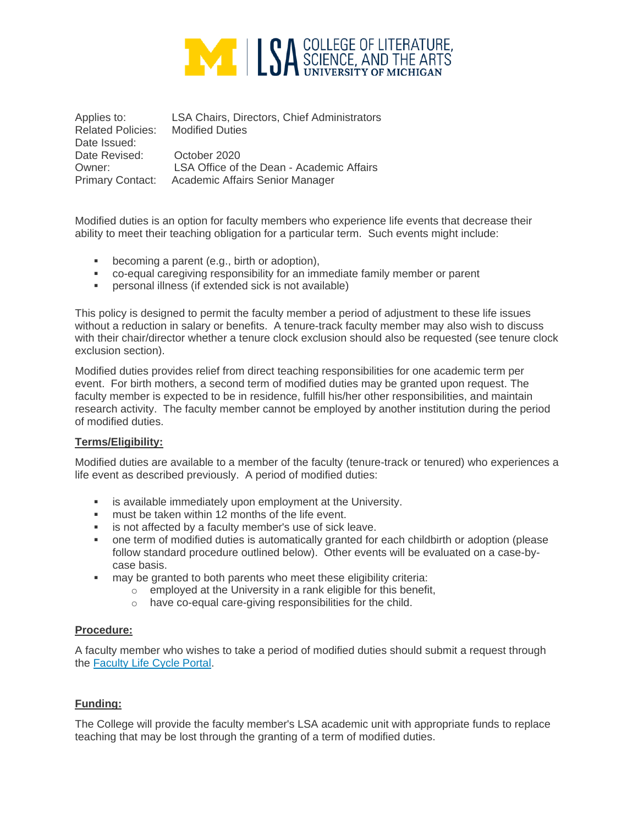

Applies to: LSA Chairs, Directors, Chief Administrators Related Policies: Modified Duties Date Issued: Date Revised: October 2020 Owner: LSA Office of the Dean - Academic Affairs Primary Contact: Academic Affairs Senior Manager

Modified duties is an option for faculty members who experience life events that decrease their ability to meet their teaching obligation for a particular term. Such events might include:

- becoming a parent (e.g., birth or adoption),
- co-equal caregiving responsibility for an immediate family member or parent
- **•** personal illness (if extended sick is not available)

This policy is designed to permit the faculty member a period of adjustment to these life issues without a reduction in salary or benefits. A tenure-track faculty member may also wish to discuss with their chair/director whether a tenure clock exclusion should also be requested (see tenure clock exclusion section).

Modified duties provides relief from direct teaching responsibilities for one academic term per event. For birth mothers, a second term of modified duties may be granted upon request. The faculty member is expected to be in residence, fulfill his/her other responsibilities, and maintain research activity. The faculty member cannot be employed by another institution during the period of modified duties.

## **Terms/Eligibility:**

Modified duties are available to a member of the faculty (tenure-track or tenured) who experiences a life event as described previously. A period of modified duties:

- **E** is available immediately upon employment at the University.
- must be taken within 12 months of the life event.
- is not affected by a faculty member's use of sick leave.
- one term of modified duties is automatically granted for each childbirth or adoption (please follow standard procedure outlined below). Other events will be evaluated on a case-bycase basis.
- may be granted to both parents who meet these eligibility criteria:
	- $\circ$  employed at the University in a rank eligible for this benefit,
	- o have co-equal care-giving responsibilities for the child.

## **Procedure:**

A faculty member who wishes to take a period of modified duties should submit a request through the [Faculty Life Cycle Portal.](https://webapps.lsa.umich.edu/AIS/default.aspx)

## **Funding:**

The College will provide the faculty member's LSA academic unit with appropriate funds to replace teaching that may be lost through the granting of a term of modified duties.